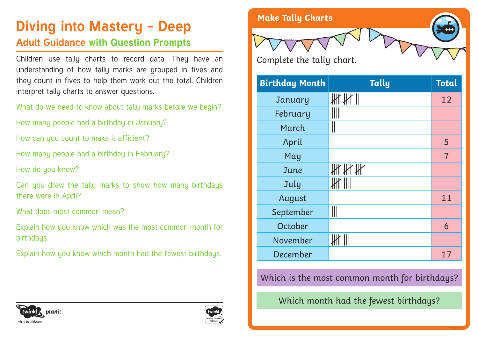# **Diving into Mastery - Deep** Make Tally Charts

# **Adult Guidance with Question Prompts**

Children use tally charts to record data. They have an understanding of how tally marks are grouped in fives and they count in fives to help them work out the total. Children interpret tally charts to answer questions.

What do we need to know about tally marks before we begin?

How many people had a birthday in January?

How can you count to make it efficient?

How many people had a birthday in February?

How do you know?

Can you draw the tally marks to show how many birthdays there were in April?

What does most common mean?

Explain how you know which was the most common month for birthdaus.

Explain how you know which month had the fewest birthdays.



| <b>Birthday Month</b> | <b>Tally</b>  | <b>Total</b>   |
|-----------------------|---------------|----------------|
| January               | HH            | 12             |
| February              |               |                |
| March                 |               |                |
| April                 |               | 5              |
| May                   |               | $\overline{7}$ |
| June                  |               |                |
| July                  | $\frac{1}{2}$ |                |
| August                |               | 11             |
| September             |               |                |
| October               |               | 6              |
| November              | $\mathbb H$   |                |
| December              |               | 17             |

Which is the most common month for birthdays?

Which month had the fewest birthdays?



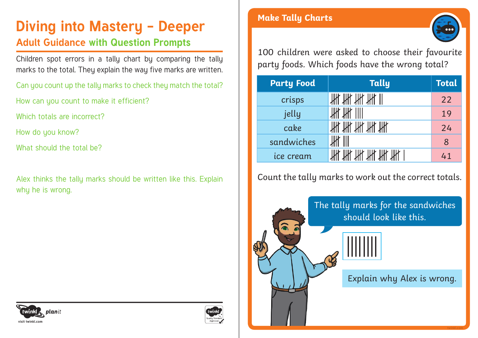# **Diving into Mastery - Deeper** Make Tally Charts

## **Adult Guidance with Question Prompts**

Children spot errors in a tally chart by comparing the tally marks to the total. They explain the way five marks are written.

Can you count up the tally marks to check they match the total?

How can you count to make it efficient?

Which totals are incorrect?

How do you know?

What should the total be?

Alex thinks the tally marks should be written like this. Explain why he is wrong.



100 children were asked to choose their favourite party foods. Which foods have the wrong total?

| <b>Party Food</b> | <b>Tally</b> | <b>Total</b> |
|-------------------|--------------|--------------|
| crisps            | 批批批批         | 22           |
| jelly             |              | 19           |
| cake              | 批批批批批        | 24           |
| sandwiches        |              | 8            |
| ice cream         |              | 41           |

## Count the tally marks to work out the correct totals.